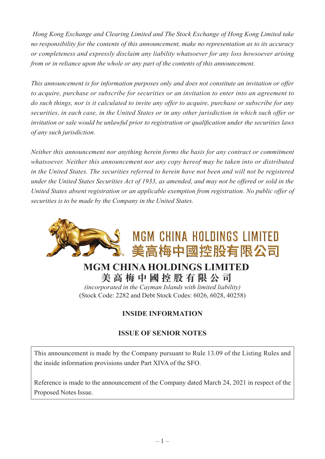*Hong Kong Exchange and Clearing Limited and The Stock Exchange of Hong Kong Limited take no responsibility for the contents of this announcement, make no representation as to its accuracy or completeness and expressly disclaim any liability whatsoever for any loss howsoever arising from or in reliance upon the whole or any part of the contents of this announcement.*

*This announcement is for information purposes only and does not constitute an invitation or offer to acquire, purchase or subscribe for securities or an invitation to enter into an agreement to do such things, nor is it calculated to invite any offer to acquire, purchase or subscribe for any securities, in each case, in the United States or in any other jurisdiction in which such offer or invitation or sale would be unlawful prior to registration or qualification under the securities laws of any such jurisdiction.*

*Neither this announcement nor anything herein forms the basis for any contract or commitment whatsoever. Neither this announcement nor any copy hereof may be taken into or distributed in the United States. The securities referred to herein have not been and will not be registered under the United States Securities Act of 1933, as amended, and may not be offered or sold in the United States absent registration or an applicable exemption from registration. No public offer of securities is to be made by the Company in the United States.*



# **MGM CHINA HOLDINGS LIMITED 美 高 梅 中 國 控 股 有 限 公 司**

*(incorporated in the Cayman Islands with limited liability)* (Stock Code: 2282 and Debt Stock Codes: 6026, 6028, 40258)

## **INSIDE INFORMATION**

### **ISSUE OF SENIOR NOTES**

This announcement is made by the Company pursuant to Rule 13.09 of the Listing Rules and the inside information provisions under Part XIVA of the SFO.

Reference is made to the announcement of the Company dated March 24, 2021 in respect of the Proposed Notes Issue.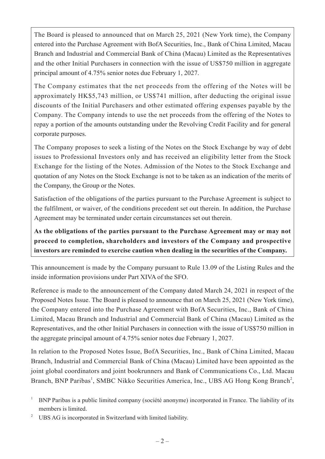The Board is pleased to announced that on March 25, 2021 (New York time), the Company entered into the Purchase Agreement with BofA Securities, Inc., Bank of China Limited, Macau Branch and Industrial and Commercial Bank of China (Macau) Limited as the Representatives and the other Initial Purchasers in connection with the issue of US\$750 million in aggregate principal amount of 4.75% senior notes due February 1, 2027.

The Company estimates that the net proceeds from the offering of the Notes will be approximately HK\$5,743 million, or US\$741 million, after deducting the original issue discounts of the Initial Purchasers and other estimated offering expenses payable by the Company. The Company intends to use the net proceeds from the offering of the Notes to repay a portion of the amounts outstanding under the Revolving Credit Facility and for general corporate purposes.

The Company proposes to seek a listing of the Notes on the Stock Exchange by way of debt issues to Professional Investors only and has received an eligibility letter from the Stock Exchange for the listing of the Notes. Admission of the Notes to the Stock Exchange and quotation of any Notes on the Stock Exchange is not to be taken as an indication of the merits of the Company, the Group or the Notes.

Satisfaction of the obligations of the parties pursuant to the Purchase Agreement is subject to the fulfilment, or waiver, of the conditions precedent set out therein. In addition, the Purchase Agreement may be terminated under certain circumstances set out therein.

**As the obligations of the parties pursuant to the Purchase Agreement may or may not proceed to completion, shareholders and investors of the Company and prospective investors are reminded to exercise caution when dealing in the securities of the Company.**

This announcement is made by the Company pursuant to Rule 13.09 of the Listing Rules and the inside information provisions under Part XIVA of the SFO.

Reference is made to the announcement of the Company dated March 24, 2021 in respect of the Proposed Notes Issue. The Board is pleased to announce that on March 25, 2021 (New York time), the Company entered into the Purchase Agreement with BofA Securities, Inc., Bank of China Limited, Macau Branch and Industrial and Commercial Bank of China (Macau) Limited as the Representatives, and the other Initial Purchasers in connection with the issue of US\$750 million in the aggregate principal amount of 4.75% senior notes due February 1, 2027.

In relation to the Proposed Notes Issue, BofA Securities, Inc., Bank of China Limited, Macau Branch, Industrial and Commercial Bank of China (Macau) Limited have been appointed as the joint global coordinators and joint bookrunners and Bank of Communications Co., Ltd. Macau Branch, BNP Paribas<sup>1</sup>, SMBC Nikko Securities America, Inc., UBS AG Hong Kong Branch<sup>2</sup>,

<sup>&</sup>lt;sup>1</sup> BNP Paribas is a public limited company (société anonyme) incorporated in France. The liability of its members is limited.

<sup>&</sup>lt;sup>2</sup> UBS AG is incorporated in Switzerland with limited liability.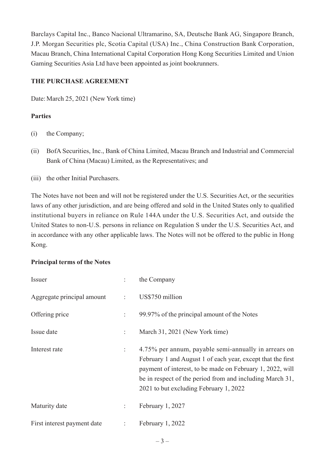Barclays Capital Inc., Banco Nacional Ultramarino, SA, Deutsche Bank AG, Singapore Branch, J.P. Morgan Securities plc, Scotia Capital (USA) Inc., China Construction Bank Corporation, Macau Branch, China International Capital Corporation Hong Kong Securities Limited and Union Gaming Securities Asia Ltd have been appointed as joint bookrunners.

#### **THE PURCHASE AGREEMENT**

Date: March 25, 2021 (New York time)

#### **Parties**

- (i) the Company;
- (ii) BofA Securities, Inc., Bank of China Limited, Macau Branch and Industrial and Commercial Bank of China (Macau) Limited, as the Representatives; and
- (iii) the other Initial Purchasers.

The Notes have not been and will not be registered under the U.S. Securities Act, or the securities laws of any other jurisdiction, and are being offered and sold in the United States only to qualified institutional buyers in reliance on Rule 144A under the U.S. Securities Act, and outside the United States to non-U.S. persons in reliance on Regulation S under the U.S. Securities Act, and in accordance with any other applicable laws. The Notes will not be offered to the public in Hong Kong.

#### **Principal terms of the Notes**

| Issuer                      |                    | the Company                                                                                                                                                                                                                                                                            |
|-----------------------------|--------------------|----------------------------------------------------------------------------------------------------------------------------------------------------------------------------------------------------------------------------------------------------------------------------------------|
| Aggregate principal amount  | $\mathbb{Z}^{n+1}$ | US\$750 million                                                                                                                                                                                                                                                                        |
| Offering price              | t.                 | 99.97% of the principal amount of the Notes                                                                                                                                                                                                                                            |
| Issue date                  |                    | March 31, 2021 (New York time)                                                                                                                                                                                                                                                         |
| Interest rate               |                    | 4.75% per annum, payable semi-annually in arrears on<br>February 1 and August 1 of each year, except that the first<br>payment of interest, to be made on February 1, 2022, will<br>be in respect of the period from and including March 31,<br>2021 to but excluding February 1, 2022 |
| Maturity date               | ÷                  | February 1, 2027                                                                                                                                                                                                                                                                       |
| First interest payment date | ÷                  | February 1, 2022                                                                                                                                                                                                                                                                       |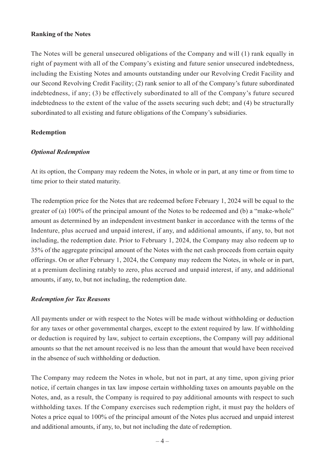#### **Ranking of the Notes**

The Notes will be general unsecured obligations of the Company and will (1) rank equally in right of payment with all of the Company's existing and future senior unsecured indebtedness, including the Existing Notes and amounts outstanding under our Revolving Credit Facility and our Second Revolving Credit Facility; (2) rank senior to all of the Company's future subordinated indebtedness, if any; (3) be effectively subordinated to all of the Company's future secured indebtedness to the extent of the value of the assets securing such debt; and (4) be structurally subordinated to all existing and future obligations of the Company's subsidiaries.

#### **Redemption**

#### *Optional Redemption*

At its option, the Company may redeem the Notes, in whole or in part, at any time or from time to time prior to their stated maturity.

The redemption price for the Notes that are redeemed before February 1, 2024 will be equal to the greater of (a) 100% of the principal amount of the Notes to be redeemed and (b) a "make-whole" amount as determined by an independent investment banker in accordance with the terms of the Indenture, plus accrued and unpaid interest, if any, and additional amounts, if any, to, but not including, the redemption date. Prior to February 1, 2024, the Company may also redeem up to 35% of the aggregate principal amount of the Notes with the net cash proceeds from certain equity offerings. On or after February 1, 2024, the Company may redeem the Notes, in whole or in part, at a premium declining ratably to zero, plus accrued and unpaid interest, if any, and additional amounts, if any, to, but not including, the redemption date.

#### *Redemption for Tax Reasons*

All payments under or with respect to the Notes will be made without withholding or deduction for any taxes or other governmental charges, except to the extent required by law. If withholding or deduction is required by law, subject to certain exceptions, the Company will pay additional amounts so that the net amount received is no less than the amount that would have been received in the absence of such withholding or deduction.

The Company may redeem the Notes in whole, but not in part, at any time, upon giving prior notice, if certain changes in tax law impose certain withholding taxes on amounts payable on the Notes, and, as a result, the Company is required to pay additional amounts with respect to such withholding taxes. If the Company exercises such redemption right, it must pay the holders of Notes a price equal to 100% of the principal amount of the Notes plus accrued and unpaid interest and additional amounts, if any, to, but not including the date of redemption.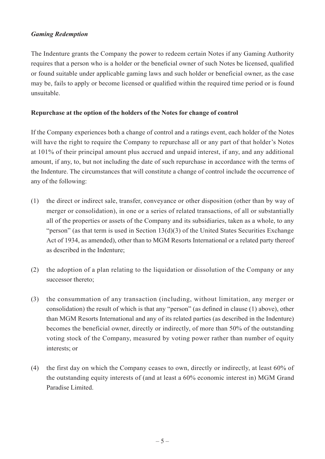#### *Gaming Redemption*

The Indenture grants the Company the power to redeem certain Notes if any Gaming Authority requires that a person who is a holder or the beneficial owner of such Notes be licensed, qualified or found suitable under applicable gaming laws and such holder or beneficial owner, as the case may be, fails to apply or become licensed or qualified within the required time period or is found unsuitable.

#### **Repurchase at the option of the holders of the Notes for change of control**

If the Company experiences both a change of control and a ratings event, each holder of the Notes will have the right to require the Company to repurchase all or any part of that holder's Notes at 101% of their principal amount plus accrued and unpaid interest, if any, and any additional amount, if any, to, but not including the date of such repurchase in accordance with the terms of the Indenture. The circumstances that will constitute a change of control include the occurrence of any of the following:

- (1) the direct or indirect sale, transfer, conveyance or other disposition (other than by way of merger or consolidation), in one or a series of related transactions, of all or substantially all of the properties or assets of the Company and its subsidiaries, taken as a whole, to any "person" (as that term is used in Section 13(d)(3) of the United States Securities Exchange Act of 1934, as amended), other than to MGM Resorts International or a related party thereof as described in the Indenture;
- (2) the adoption of a plan relating to the liquidation or dissolution of the Company or any successor thereto;
- (3) the consummation of any transaction (including, without limitation, any merger or consolidation) the result of which is that any "person" (as defined in clause (1) above), other than MGM Resorts International and any of its related parties (as described in the Indenture) becomes the beneficial owner, directly or indirectly, of more than 50% of the outstanding voting stock of the Company, measured by voting power rather than number of equity interests; or
- (4) the first day on which the Company ceases to own, directly or indirectly, at least 60% of the outstanding equity interests of (and at least a 60% economic interest in) MGM Grand Paradise Limited.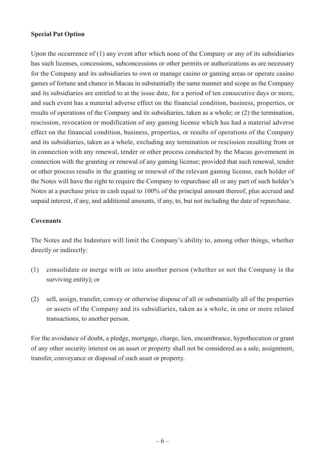#### **Special Put Option**

Upon the occurrence of (1) any event after which none of the Company or any of its subsidiaries has such licenses, concessions, subconcessions or other permits or authorizations as are necessary for the Company and its subsidiaries to own or manage casino or gaming areas or operate casino games of fortune and chance in Macau in substantially the same manner and scope as the Company and its subsidiaries are entitled to at the issue date, for a period of ten consecutive days or more, and such event has a material adverse effect on the financial condition, business, properties, or results of operations of the Company and its subsidiaries, taken as a whole; or (2) the termination, rescission, revocation or modification of any gaming license which has had a material adverse effect on the financial condition, business, properties, or results of operations of the Company and its subsidiaries, taken as a whole, excluding any termination or rescission resulting from or in connection with any renewal, tender or other process conducted by the Macau government in connection with the granting or renewal of any gaming license; provided that such renewal, tender or other process results in the granting or renewal of the relevant gaming license, each holder of the Notes will have the right to require the Company to repurchase all or any part of such holder's Notes at a purchase price in cash equal to 100% of the principal amount thereof, plus accrued and unpaid interest, if any, and additional amounts, if any, to, but not including the date of repurchase.

#### **Covenants**

The Notes and the Indenture will limit the Company's ability to, among other things, whether directly or indirectly:

- (1) consolidate or merge with or into another person (whether or not the Company is the surviving entity); or
- (2) sell, assign, transfer, convey or otherwise dispose of all or substantially all of the properties or assets of the Company and its subsidiaries, taken as a whole, in one or more related transactions, to another person.

For the avoidance of doubt, a pledge, mortgage, charge, lien, encumbrance, hypothecation or grant of any other security interest on an asset or property shall not be considered as a sale, assignment, transfer, conveyance or disposal of such asset or property.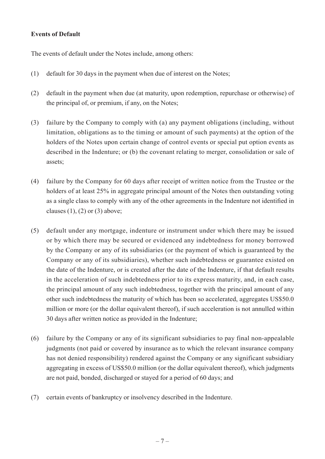#### **Events of Default**

The events of default under the Notes include, among others:

- (1) default for 30 days in the payment when due of interest on the Notes;
- (2) default in the payment when due (at maturity, upon redemption, repurchase or otherwise) of the principal of, or premium, if any, on the Notes;
- (3) failure by the Company to comply with (a) any payment obligations (including, without limitation, obligations as to the timing or amount of such payments) at the option of the holders of the Notes upon certain change of control events or special put option events as described in the Indenture; or (b) the covenant relating to merger, consolidation or sale of assets;
- (4) failure by the Company for 60 days after receipt of written notice from the Trustee or the holders of at least 25% in aggregate principal amount of the Notes then outstanding voting as a single class to comply with any of the other agreements in the Indenture not identified in clauses  $(1)$ ,  $(2)$  or  $(3)$  above;
- (5) default under any mortgage, indenture or instrument under which there may be issued or by which there may be secured or evidenced any indebtedness for money borrowed by the Company or any of its subsidiaries (or the payment of which is guaranteed by the Company or any of its subsidiaries), whether such indebtedness or guarantee existed on the date of the Indenture, or is created after the date of the Indenture, if that default results in the acceleration of such indebtedness prior to its express maturity, and, in each case, the principal amount of any such indebtedness, together with the principal amount of any other such indebtedness the maturity of which has been so accelerated, aggregates US\$50.0 million or more (or the dollar equivalent thereof), if such acceleration is not annulled within 30 days after written notice as provided in the Indenture;
- (6) failure by the Company or any of its significant subsidiaries to pay final non-appealable judgments (not paid or covered by insurance as to which the relevant insurance company has not denied responsibility) rendered against the Company or any significant subsidiary aggregating in excess of US\$50.0 million (or the dollar equivalent thereof), which judgments are not paid, bonded, discharged or stayed for a period of 60 days; and
- (7) certain events of bankruptcy or insolvency described in the Indenture.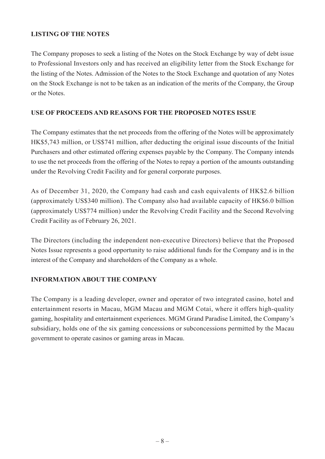#### **LISTING OF THE NOTES**

The Company proposes to seek a listing of the Notes on the Stock Exchange by way of debt issue to Professional Investors only and has received an eligibility letter from the Stock Exchange for the listing of the Notes. Admission of the Notes to the Stock Exchange and quotation of any Notes on the Stock Exchange is not to be taken as an indication of the merits of the Company, the Group or the Notes.

#### **USE OF PROCEEDS AND REASONS FOR THE PROPOSED NOTES ISSUE**

The Company estimates that the net proceeds from the offering of the Notes will be approximately HK\$5,743 million, or US\$741 million, after deducting the original issue discounts of the Initial Purchasers and other estimated offering expenses payable by the Company. The Company intends to use the net proceeds from the offering of the Notes to repay a portion of the amounts outstanding under the Revolving Credit Facility and for general corporate purposes.

As of December 31, 2020, the Company had cash and cash equivalents of HK\$2.6 billion (approximately US\$340 million). The Company also had available capacity of HK\$6.0 billion (approximately US\$774 million) under the Revolving Credit Facility and the Second Revolving Credit Facility as of February 26, 2021.

The Directors (including the independent non-executive Directors) believe that the Proposed Notes Issue represents a good opportunity to raise additional funds for the Company and is in the interest of the Company and shareholders of the Company as a whole.

#### **INFORMATION ABOUT THE COMPANY**

The Company is a leading developer, owner and operator of two integrated casino, hotel and entertainment resorts in Macau, MGM Macau and MGM Cotai, where it offers high-quality gaming, hospitality and entertainment experiences. MGM Grand Paradise Limited, the Company's subsidiary, holds one of the six gaming concessions or subconcessions permitted by the Macau government to operate casinos or gaming areas in Macau.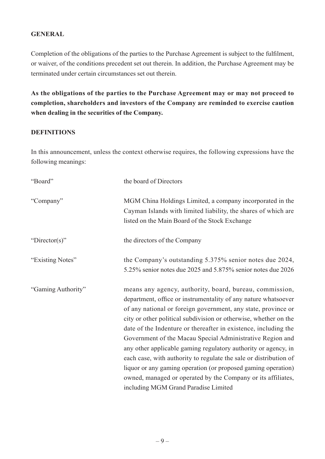#### **GENERAL**

Completion of the obligations of the parties to the Purchase Agreement is subject to the fulfilment, or waiver, of the conditions precedent set out therein. In addition, the Purchase Agreement may be terminated under certain circumstances set out therein.

**As the obligations of the parties to the Purchase Agreement may or may not proceed to completion, shareholders and investors of the Company are reminded to exercise caution when dealing in the securities of the Company.**

#### **DEFINITIONS**

In this announcement, unless the context otherwise requires, the following expressions have the following meanings:

| "Board"            | the board of Directors                                                                                                                                                                                                                                                                                                                                                                                                                                                                                                                                                                                                                                                                                         |
|--------------------|----------------------------------------------------------------------------------------------------------------------------------------------------------------------------------------------------------------------------------------------------------------------------------------------------------------------------------------------------------------------------------------------------------------------------------------------------------------------------------------------------------------------------------------------------------------------------------------------------------------------------------------------------------------------------------------------------------------|
| "Company"          | MGM China Holdings Limited, a company incorporated in the<br>Cayman Islands with limited liability, the shares of which are<br>listed on the Main Board of the Stock Exchange                                                                                                                                                                                                                                                                                                                                                                                                                                                                                                                                  |
| "Director(s)"      | the directors of the Company                                                                                                                                                                                                                                                                                                                                                                                                                                                                                                                                                                                                                                                                                   |
| "Existing Notes"   | the Company's outstanding 5.375% senior notes due 2024,<br>5.25% senior notes due 2025 and 5.875% senior notes due 2026                                                                                                                                                                                                                                                                                                                                                                                                                                                                                                                                                                                        |
| "Gaming Authority" | means any agency, authority, board, bureau, commission,<br>department, office or instrumentality of any nature whatsoever<br>of any national or foreign government, any state, province or<br>city or other political subdivision or otherwise, whether on the<br>date of the Indenture or thereafter in existence, including the<br>Government of the Macau Special Administrative Region and<br>any other applicable gaming regulatory authority or agency, in<br>each case, with authority to regulate the sale or distribution of<br>liquor or any gaming operation (or proposed gaming operation)<br>owned, managed or operated by the Company or its affiliates,<br>including MGM Grand Paradise Limited |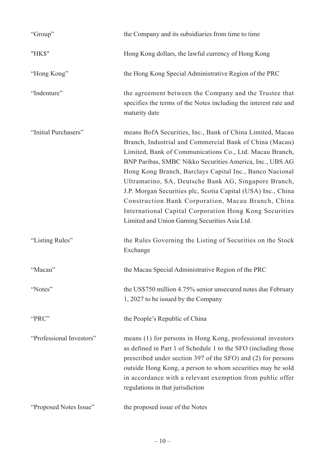| "Group"                  | the Company and its subsidiaries from time to time                                                                                                                                                                                                                                                                                                                                                                                                                                                                                                                                              |
|--------------------------|-------------------------------------------------------------------------------------------------------------------------------------------------------------------------------------------------------------------------------------------------------------------------------------------------------------------------------------------------------------------------------------------------------------------------------------------------------------------------------------------------------------------------------------------------------------------------------------------------|
| "HK\$"                   | Hong Kong dollars, the lawful currency of Hong Kong                                                                                                                                                                                                                                                                                                                                                                                                                                                                                                                                             |
| "Hong Kong"              | the Hong Kong Special Administrative Region of the PRC                                                                                                                                                                                                                                                                                                                                                                                                                                                                                                                                          |
| "Indenture"              | the agreement between the Company and the Trustee that<br>specifies the terms of the Notes including the interest rate and<br>maturity date                                                                                                                                                                                                                                                                                                                                                                                                                                                     |
| "Initial Purchasers"     | means BofA Securities, Inc., Bank of China Limited, Macau<br>Branch, Industrial and Commercial Bank of China (Macau)<br>Limited, Bank of Communications Co., Ltd. Macau Branch,<br>BNP Paribas, SMBC Nikko Securities America, Inc., UBS AG<br>Hong Kong Branch, Barclays Capital Inc., Banco Nacional<br>Ultramarino, SA, Deutsche Bank AG, Singapore Branch,<br>J.P. Morgan Securities plc, Scotia Capital (USA) Inc., China<br>Construction Bank Corporation, Macau Branch, China<br>International Capital Corporation Hong Kong Securities<br>Limited and Union Gaming Securities Asia Ltd. |
| "Listing Rules"          | the Rules Governing the Listing of Securities on the Stock<br>Exchange                                                                                                                                                                                                                                                                                                                                                                                                                                                                                                                          |
| "Macau"                  | the Macau Special Administrative Region of the PRC                                                                                                                                                                                                                                                                                                                                                                                                                                                                                                                                              |
| "Notes"                  | the US\$750 million 4.75% senior unsecured notes due February<br>1, 2027 to be issued by the Company                                                                                                                                                                                                                                                                                                                                                                                                                                                                                            |
| "PRC"                    | the People's Republic of China                                                                                                                                                                                                                                                                                                                                                                                                                                                                                                                                                                  |
| "Professional Investors" | means (1) for persons in Hong Kong, professional investors<br>as defined in Part 1 of Schedule 1 to the SFO (including those<br>prescribed under section 397 of the SFO) and (2) for persons<br>outside Hong Kong, a person to whom securities may be sold<br>in accordance with a relevant exemption from public offer<br>regulations in that jurisdiction                                                                                                                                                                                                                                     |
| "Proposed Notes Issue"   | the proposed issue of the Notes                                                                                                                                                                                                                                                                                                                                                                                                                                                                                                                                                                 |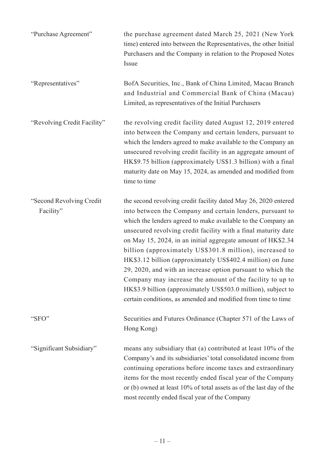| "Purchase Agreement"                   | the purchase agreement dated March 25, 2021 (New York<br>time) entered into between the Representatives, the other Initial<br>Purchasers and the Company in relation to the Proposed Notes<br>Issue                                                                                                                                                                                                                                                                                                                                                                                                                                                                                                                 |
|----------------------------------------|---------------------------------------------------------------------------------------------------------------------------------------------------------------------------------------------------------------------------------------------------------------------------------------------------------------------------------------------------------------------------------------------------------------------------------------------------------------------------------------------------------------------------------------------------------------------------------------------------------------------------------------------------------------------------------------------------------------------|
| "Representatives"                      | BofA Securities, Inc., Bank of China Limited, Macau Branch<br>and Industrial and Commercial Bank of China (Macau)<br>Limited, as representatives of the Initial Purchasers                                                                                                                                                                                                                                                                                                                                                                                                                                                                                                                                          |
| "Revolving Credit Facility"            | the revolving credit facility dated August 12, 2019 entered<br>into between the Company and certain lenders, pursuant to<br>which the lenders agreed to make available to the Company an<br>unsecured revolving credit facility in an aggregate amount of<br>HK\$9.75 billion (approximately US\$1.3 billion) with a final<br>maturity date on May 15, 2024, as amended and modified from<br>time to time                                                                                                                                                                                                                                                                                                           |
| "Second Revolving Credit"<br>Facility" | the second revolving credit facility dated May 26, 2020 entered<br>into between the Company and certain lenders, pursuant to<br>which the lenders agreed to make available to the Company an<br>unsecured revolving credit facility with a final maturity date<br>on May 15, 2024, in an initial aggregate amount of HK\$2.34<br>billion (approximately US\$301.8 million), increased to<br>HK\$3.12 billion (approximately US\$402.4 million) on June<br>29, 2020, and with an increase option pursuant to which the<br>Company may increase the amount of the facility to up to<br>HK\$3.9 billion (approximately US\$503.0 million), subject to<br>certain conditions, as amended and modified from time to time |
| "SFO"                                  | Securities and Futures Ordinance (Chapter 571 of the Laws of<br>Hong Kong)                                                                                                                                                                                                                                                                                                                                                                                                                                                                                                                                                                                                                                          |
| "Significant Subsidiary"               | means any subsidiary that (a) contributed at least 10% of the<br>Company's and its subsidiaries' total consolidated income from<br>continuing operations before income taxes and extraordinary<br>items for the most recently ended fiscal year of the Company<br>or (b) owned at least 10% of total assets as of the last day of the<br>most recently ended fiscal year of the Company                                                                                                                                                                                                                                                                                                                             |